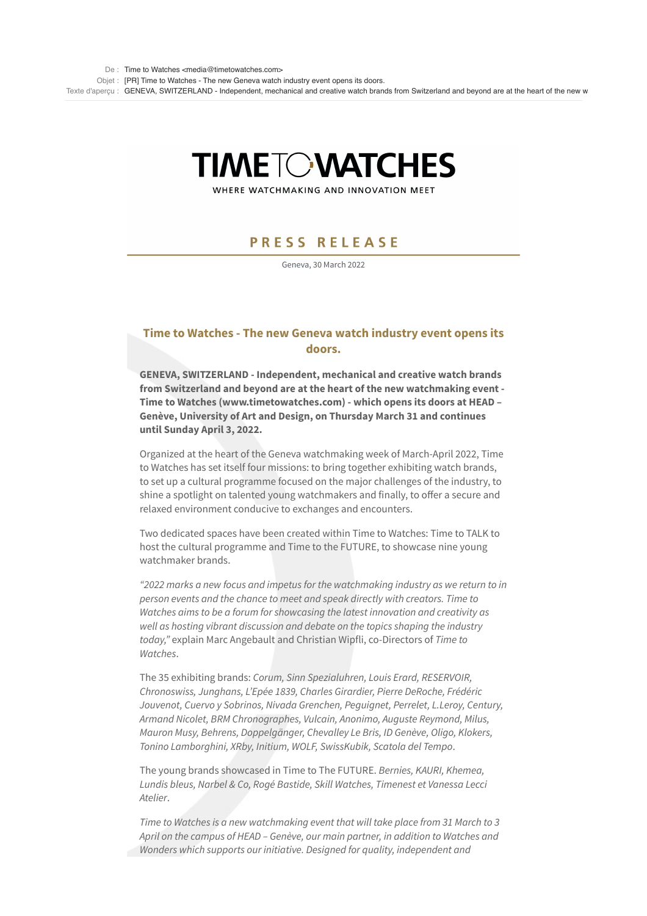# **TIMETOWATCHES**

WHERE WATCHMAKING AND INNOVATION MEET

## **PRESS RELEASE**

Geneva, 30 March 2022

## **Time to Watches - The new Geneva watch industry event opens its doors.**

**GENEVA, SWITZERLAND - Independent, mechanical and creative watch brands from Switzerland and beyond are at the heart of the new watchmaking event - Time to Watches (www.timetowatches.com) - which opens its doors at HEAD – Genève, University of Art and Design, on Thursday March 31 and continues until Sunday April 3, 2022.**

Organized at the heart of the Geneva watchmaking week of March-April 2022, Time to Watches has set itself four missions: to bring together exhibiting watch brands, to set up a cultural programme focused on the major challenges of the industry, to shine a spotlight on talented young watchmakers and finally, to offer a secure and relaxed environment conducive to exchanges and encounters.

Two dedicated spaces have been created within Time to Watches: Time to TALK to host the cultural programme and Time to the FUTURE, to showcase nine young watchmaker brands.

*"2022 marks a new focus and impetus for the watchmaking industry as we return to in person events and the chance to meet and speak directly with creators. Time to Watches aims to be a forum for showcasing the latest innovation and creativity as well as hosting vibrant discussion and debate on the topics shaping the industry today,"* explain Marc Angebault and Christian Wipfli, co-Directors of *Time to Watches*.

The 35 exhibiting brands: *Corum, Sinn Spezialuhren, Louis Erard, RESERVOIR, Chronoswiss, Junghans, L'Epée 1839, Charles Girardier, Pierre DeRoche, Frédéric Jouvenot, Cuervo y Sobrinos, Nivada Grenchen, Peguignet, Perrelet, L.Leroy, Century, Armand Nicolet, BRM Chronographes, Vulcain, Anonimo, Auguste Reymond, Milus, Mauron Musy, Behrens, Doppelgänger, Chevalley Le Bris, ID Genève, Oligo, Klokers, Tonino Lamborghini, XRby, Initium, WOLF, SwissKubik, Scatola del Tempo*.

The young brands showcased in Time to The FUTURE. *Bernies, KAURI, Khemea, Lundis bleus, Narbel & Co, Rogé Bastide, Skill Watches, Timenest et Vanessa Lecci Atelier*.

*Time to Watches is a new watchmaking event that will take place from 31 March to 3 April on the campus of HEAD – Genève, our main partner, in addition to Watches and Wonders which supports our initiative. Designed for quality, independent and*